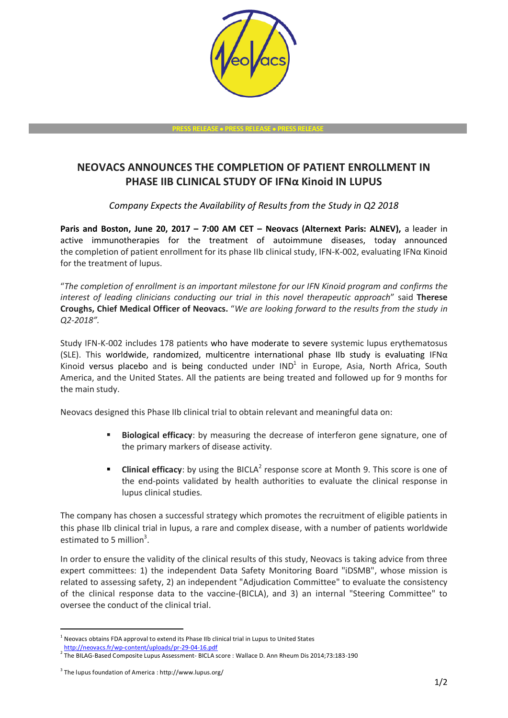

**PRESS RELEASE PRESS RELEASE PRESS RELEASE**

## **NEOVACS ANNOUNCES THE COMPLETION OF PATIENT ENROLLMENT IN PHASE IIB CLINICAL STUDY OF IFNα Kinoid IN LUPUS**

*Company Expects the Availability of Results from the Study in Q2 2018*

**Paris and Boston, June 20, 2017 – 7:00 AM CET – Neovacs (Alternext Paris: ALNEV),** a leader in active immunotherapies for the treatment of autoimmune diseases, today announced the completion of patient enrollment for its phase IIb clinical study, IFN-K-002, evaluating IFNα Kinoid for the treatment of lupus.

"*The completion of enrollment is an important milestone for our IFN Kinoid program and confirms the interest of leading clinicians conducting our trial in this novel therapeutic approach*" said **Therese Croughs, Chief Medical Officer of Neovacs.** "*We are looking forward to the results from the study in Q2-2018".*

Study IFN-K-002 includes 178 patients who have moderate to severe systemic lupus erythematosus (SLE). This worldwide, randomized, multicentre international phase IIb study is evaluating IFN $\alpha$ Kinoid versus placebo and is being conducted under  $IND<sup>1</sup>$  in Europe, Asia, North Africa, South America, and the United States. All the patients are being treated and followed up for 9 months for the main study.

Neovacs designed this Phase IIb clinical trial to obtain relevant and meaningful data on:

- **Biological efficacy**: by measuring the decrease of interferon gene signature, one of the primary markers of disease activity.
- **Clinical efficacy**: by using the BICLA<sup>2</sup> response score at Month 9. This score is one of the end-points validated by health authorities to evaluate the clinical response in lupus clinical studies.

The company has chosen a successful strategy which promotes the recruitment of eligible patients in this phase IIb clinical trial in lupus, a rare and complex disease, with a number of patients worldwide estimated to 5 million<sup>3</sup>.

In order to ensure the validity of the clinical results of this study, Neovacs is taking advice from three expert committees: 1) the independent Data Safety Monitoring Board "iDSMB", whose mission is related to assessing safety, 2) an independent "Adjudication Committee" to evaluate the consistency of the clinical response data to the vaccine-(BICLA), and 3) an internal "Steering Committee" to oversee the conduct of the clinical trial.

-

 $<sup>1</sup>$  Neovacs obtains FDA approval to extend its Phase IIb clinical trial in Lupus to United States</sup>

<http://neovacs.fr/wp-content/uploads/pr-29-04-16.pdf>

 $^2$  The BILAG-Based Composite Lupus Assessment- BICLA score : Wallace D. Ann Rheum Dis 2014;73:183-190

<sup>3</sup> The lupus foundation of America : http://www.lupus.org/